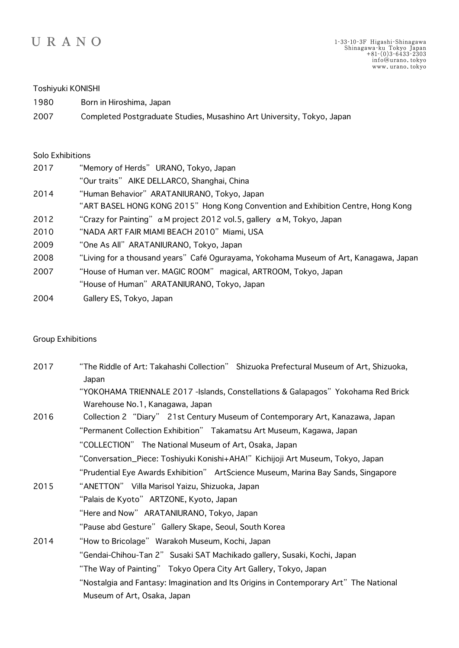

## Toshiyuki KONISHI

2007 Completed Postgraduate Studies, Musashino Art University, Tokyo, Japan

## Solo Exhibitions

| 2017 | "Memory of Herds" URANO, Tokyo, Japan                                                 |
|------|---------------------------------------------------------------------------------------|
|      | "Our traits" AIKE DELLARCO, Shanghai, China                                           |
| 2014 | "Human Behavior" ARATANIURANO, Tokyo, Japan                                           |
|      | "ART BASEL HONG KONG 2015" Hong Kong Convention and Exhibition Centre, Hong Kong      |
| 2012 | "Crazy for Painting" $\alpha$ M project 2012 vol.5, gallery $\alpha$ M, Tokyo, Japan  |
| 2010 | "NADA ART FAIR MIAMI BEACH 2010" Miami, USA                                           |
| 2009 | "One As All" ARATANIURANO, Tokyo, Japan                                               |
| 2008 | "Living for a thousand years" Café Ogurayama, Yokohama Museum of Art, Kanagawa, Japan |
| 2007 | "House of Human ver. MAGIC ROOM" magical, ARTROOM, Tokyo, Japan                       |
|      | "House of Human" ARATANIURANO, Tokyo, Japan                                           |
| 2004 | Gallery ES, Tokyo, Japan                                                              |

## Group Exhibitions

| "The Riddle of Art: Takahashi Collection" Shizuoka Prefectural Museum of Art, Shizuoka,<br>Japan                     |
|----------------------------------------------------------------------------------------------------------------------|
| "YOKOHAMA TRIENNALE 2017 -Islands, Constellations & Galapagos" Yokohama Red Brick<br>Warehouse No.1, Kanagawa, Japan |
| Collection 2 "Diary" 21st Century Museum of Contemporary Art, Kanazawa, Japan                                        |
| "Permanent Collection Exhibition" Takamatsu Art Museum, Kagawa, Japan                                                |
| "COLLECTION" The National Museum of Art, Osaka, Japan                                                                |
| "Conversation_Piece: Toshiyuki Konishi+AHA!" Kichijoji Art Museum, Tokyo, Japan                                      |
| "Prudential Eye Awards Exhibition" ArtScience Museum, Marina Bay Sands, Singapore                                    |
| "ANETTON" Villa Marisol Yaizu, Shizuoka, Japan                                                                       |
| "Palais de Kyoto" ARTZONE, Kyoto, Japan                                                                              |
| "Here and Now" ARATANIURANO, Tokyo, Japan                                                                            |
| "Pause abd Gesture" Gallery Skape, Seoul, South Korea                                                                |
| "How to Bricolage" Warakoh Museum, Kochi, Japan                                                                      |
| "Gendai-Chihou-Tan 2" Susaki SAT Machikado gallery, Susaki, Kochi, Japan                                             |
| "The Way of Painting" Tokyo Opera City Art Gallery, Tokyo, Japan                                                     |
| "Nostalgia and Fantasy: Imagination and Its Origins in Contemporary Art" The National                                |
| Museum of Art, Osaka, Japan                                                                                          |
|                                                                                                                      |